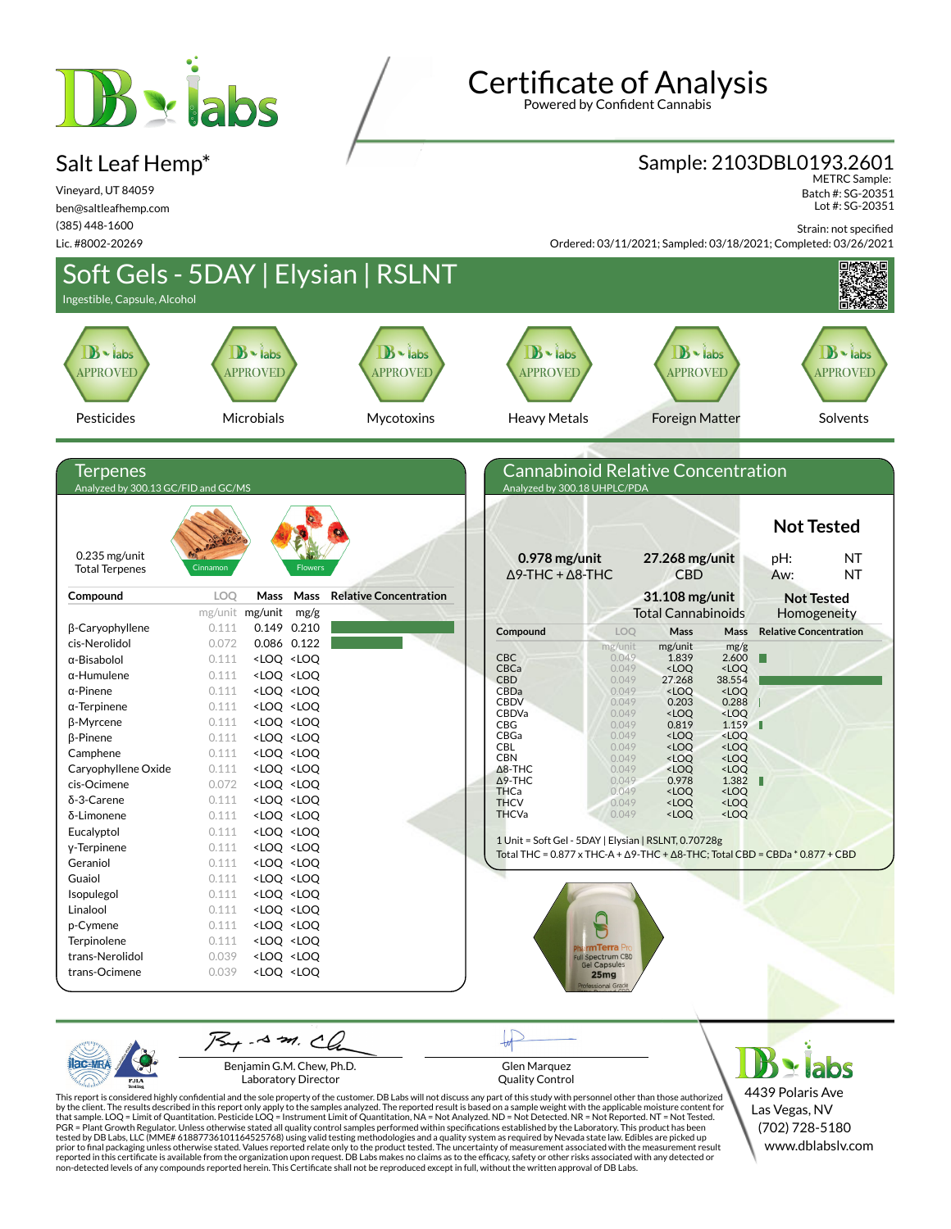# **B** abs

#### Salt Leaf Hemp\*

Vineyard, UT 84059 ben@saltleafhemp.com (385) 448-1600 Lic. #8002-20269

**Certificate of Analysis** 

Powered by Confident Cannabis

#### Sample: 2103DBL0193.2601

METRC Sample: Batch #: SG-20351 Lot #: SG-20351

Strain: not specified

Ordered: 03/11/2021; Sampled: 03/18/2021; Completed: 03/26/2021



Laboratory Director

PJL/

Glen Marquez Quality Control

This report is considered highly confidential and the sole property of the customer. DB Labs will not discuss any part of this study with personnel other than those authorized<br>by the client. The results described in this r tested by DB Labs, LLC (MME# 61887736101164525768) using valid testing methodologies and a quality system as required by Nevada state law. Edibles are picked up<br>prior to final packaging unless otherwise stated. Values repo

4439 Polaris Ave Las Vegas, NV (702) 728-5180 www.dblabslv.com